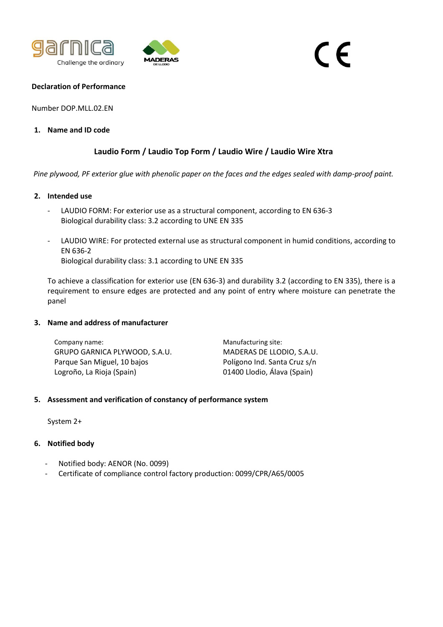



# $\epsilon$

#### **Declaration of Performance**

Number DOP.MLL.02.EN

# **1. Name and ID code**

# **Laudio Form / Laudio Top Form / Laudio Wire / Laudio Wire Xtra**

*Pine plywood, PF exterior glue with phenolic paper on the faces and the edges sealed with damp-proof paint.*

#### **2. Intended use**

- LAUDIO FORM: For exterior use as a structural component, according to EN 636-3 Biological durability class: 3.2 according to UNE EN 335
- LAUDIO WIRE: For protected external use as structural component in humid conditions, according to EN 636-2 Biological durability class: 3.1 according to UNE EN 335

To achieve a classification for exterior use (EN 636-3) and durability 3.2 (according to EN 335), there is a requirement to ensure edges are protected and any point of entry where moisture can penetrate the panel

#### **3. Name and address of manufacturer**

Company name: GRUPO GARNICA PLYWOOD, S.A.U. Parque San Miguel, 10 bajos Logroño, La Rioja (Spain)

Manufacturing site: MADERAS DE LLODIO, S.A.U. Polígono Ind. Santa Cruz s/n 01400 Llodio, Álava (Spain)

# **5. Assessment and verification of constancy of performance system**

System 2+

# **6. Notified body**

- Notified body: AENOR (No. 0099)
- Certificate of compliance control factory production: 0099/CPR/A65/0005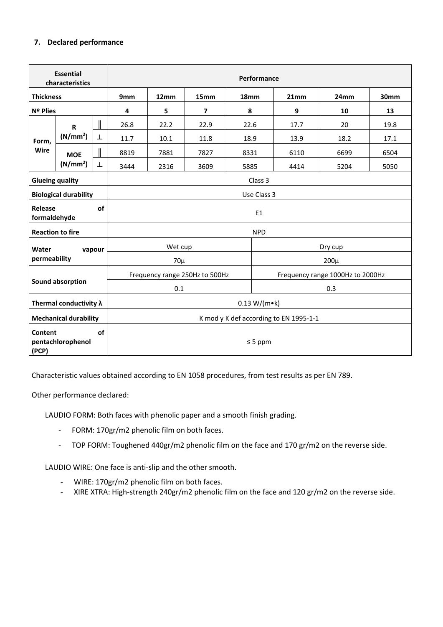# **7. Declared performance**

| <b>Essential</b><br>characteristics         |                                      |              | Performance                            |      |                         |      |                                  |      |      |  |
|---------------------------------------------|--------------------------------------|--------------|----------------------------------------|------|-------------------------|------|----------------------------------|------|------|--|
| <b>Thickness</b>                            |                                      |              | 9 <sub>mm</sub>                        | 12mm | 15mm                    | 18mm | 21mm                             | 24mm | 30mm |  |
| Nº Plies                                    |                                      |              | 4                                      | 5    | $\overline{\mathbf{z}}$ | 8    | $\boldsymbol{9}$                 | 10   | 13   |  |
| Form,<br>Wire                               | $\mathsf{R}$<br>(N/mm <sup>2</sup> ) |              | 26.8                                   | 22.2 | 22.9                    | 22.6 | 17.7                             | 20   | 19.8 |  |
|                                             |                                      | T            | 11.7                                   | 10.1 | 11.8                    | 18.9 | 13.9                             | 18.2 | 17.1 |  |
|                                             | <b>MOE</b><br>(N/mm <sup>2</sup> )   |              | 8819                                   | 7881 | 7827                    | 8331 | 6110                             | 6699 | 6504 |  |
|                                             |                                      | Т            | 3444                                   | 2316 | 3609                    | 5885 | 4414                             | 5204 | 5050 |  |
| <b>Glueing quality</b>                      |                                      |              | Class 3                                |      |                         |      |                                  |      |      |  |
| <b>Biological durability</b>                |                                      |              | Use Class 3                            |      |                         |      |                                  |      |      |  |
| Release<br>of<br>formaldehyde               |                                      |              | E <sub>1</sub>                         |      |                         |      |                                  |      |      |  |
| <b>Reaction to fire</b>                     |                                      |              | <b>NPD</b>                             |      |                         |      |                                  |      |      |  |
| Water<br>vapour<br>permeability             |                                      |              | Wet cup                                |      |                         |      | Dry cup                          |      |      |  |
|                                             |                                      |              | $70\mu$                                |      |                         |      | $200\mu$                         |      |      |  |
| Sound absorption                            |                                      |              | Frequency range 250Hz to 500Hz         |      |                         |      | Frequency range 1000Hz to 2000Hz |      |      |  |
|                                             |                                      |              | 0.1                                    |      |                         |      | 0.3                              |      |      |  |
| Thermal conductivity $\lambda$              |                                      |              | 0.13 W/(m•k)                           |      |                         |      |                                  |      |      |  |
| <b>Mechanical durability</b>                |                                      |              | K mod y K def according to EN 1995-1-1 |      |                         |      |                                  |      |      |  |
| of<br>Content<br>pentachlorophenol<br>(PCP) |                                      | $\leq$ 5 ppm |                                        |      |                         |      |                                  |      |      |  |

Characteristic values obtained according to EN 1058 procedures, from test results as per EN 789.

Other performance declared:

LAUDIO FORM: Both faces with phenolic paper and a smooth finish grading.

- FORM: 170gr/m2 phenolic film on both faces.
- TOP FORM: Toughened 440gr/m2 phenolic film on the face and 170 gr/m2 on the reverse side.

LAUDIO WIRE: One face is anti-slip and the other smooth.

- WIRE: 170gr/m2 phenolic film on both faces.
- XIRE XTRA: High-strength 240gr/m2 phenolic film on the face and 120 gr/m2 on the reverse side.